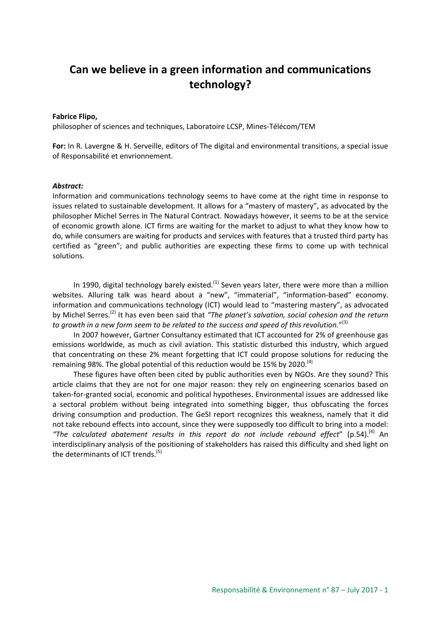# **Can we believe in a green information and communications technology?**

#### **Fabrice Flipo,**

philosopher of sciences and techniques, Laboratoire LCSP, Mines-Télécom/TEM

**For:** In R. Lavergne & H. Serveille, editors of The digital and environmental transitions, a special issue of Responsabilité et envrionnement.

#### *Abstract:*

Information and communications technology seems to have come at the right time in response to issues related to sustainable development. It allows for a "mastery of mastery", as advocated by the philosopher Michel Serres in The Natural Contract. Nowadays however, it seems to be at the service of economic growth alone. ICT firms are waiting for the market to adjust to what they know how to do, while consumers are waiting for products and services with features that a trusted third party has certified as "green"; and public authorities are expecting these firms to come up with technical solutions.

In 1990, digital technology barely existed.<sup>(1)</sup> Seven years later, there were more than a million websites. Alluring talk was heard about a "new", "immaterial", "information-based" economy. information and communications technology (ICT) would lead to "mastering mastery", as advocated by Michel Serres.(2) It has even been said that *"The planet's salvation, social cohesion and the return*  to growth in a new form seem to be related to the success and speed of this revolution."<sup>(3)</sup>

In 2007 however, Gartner Consultancy estimated that ICT accounted for 2% of greenhouse gas emissions worldwide, as much as civil aviation. This statistic disturbed this industry, which argued that concentrating on these 2% meant forgetting that ICT could propose solutions for reducing the remaining 98%. The global potential of this reduction would be 15% by 2020.<sup>(4)</sup>

These figures have often been cited by public authorities even by NGOs. Are they sound? This article claims that they are not for one major reason: they rely on engineering scenarios based on taken-for-granted social, economic and political hypotheses. Environmental issues are addressed like a sectoral problem without being integrated into something bigger, thus obfuscating the forces driving consumption and production. The GeSI report recognizes this weakness, namely that it did not take rebound effects into account, since they were supposedly too difficult to bring into a model: *"The calculated abatement results in this report do not include rebound effect*" (p.54).(4) An interdisciplinary analysis of the positioning of stakeholders has raised this difficulty and shed light on the determinants of ICT trends.<sup>(5)</sup>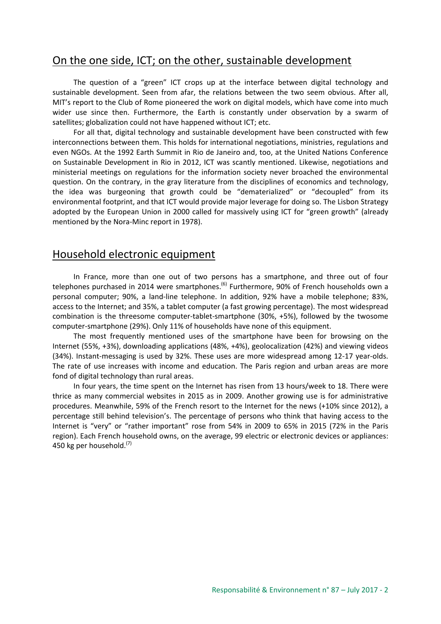## On the one side, ICT; on the other, sustainable development

The question of a "green" ICT crops up at the interface between digital technology and sustainable development. Seen from afar, the relations between the two seem obvious. After all, MIT's report to the Club of Rome pioneered the work on digital models, which have come into much wider use since then. Furthermore, the Earth is constantly under observation by a swarm of satellites; globalization could not have happened without ICT; etc.

For all that, digital technology and sustainable development have been constructed with few interconnections between them. This holds for international negotiations, ministries, regulations and even NGOs. At the 1992 Earth Summit in Rio de Janeiro and, too, at the United Nations Conference on Sustainable Development in Rio in 2012, ICT was scantly mentioned. Likewise, negotiations and ministerial meetings on regulations for the information society never broached the environmental question. On the contrary, in the gray literature from the disciplines of economics and technology, the idea was burgeoning that growth could be "dematerialized" or "decoupled" from its environmental footprint, and that ICT would provide major leverage for doing so. The Lisbon Strategy adopted by the European Union in 2000 called for massively using ICT for "green growth" (already mentioned by the Nora-Minc report in 1978).

### Household electronic equipment

In France, more than one out of two persons has a smartphone, and three out of four telephones purchased in 2014 were smartphones.<sup>(6)</sup> Furthermore, 90% of French households own a personal computer; 90%, a land-line telephone. In addition, 92% have a mobile telephone; 83%, access to the Internet; and 35%, a tablet computer (a fast growing percentage). The most widespread combination is the threesome computer-tablet-smartphone (30%, +5%), followed by the twosome computer-smartphone (29%). Only 11% of households have none of this equipment.

The most frequently mentioned uses of the smartphone have been for browsing on the Internet (55%, +3%), downloading applications (48%, +4%), geolocalization (42%) and viewing videos (34%). Instant-messaging is used by 32%. These uses are more widespread among 12-17 year-olds. The rate of use increases with income and education. The Paris region and urban areas are more fond of digital technology than rural areas.

In four years, the time spent on the Internet has risen from 13 hours/week to 18. There were thrice as many commercial websites in 2015 as in 2009. Another growing use is for administrative procedures. Meanwhile, 59% of the French resort to the Internet for the news (+10% since 2012), a percentage still behind television's. The percentage of persons who think that having access to the Internet is "very" or "rather important" rose from 54% in 2009 to 65% in 2015 (72% in the Paris region). Each French household owns, on the average, 99 electric or electronic devices or appliances: 450 kg per household.<sup>(7)</sup>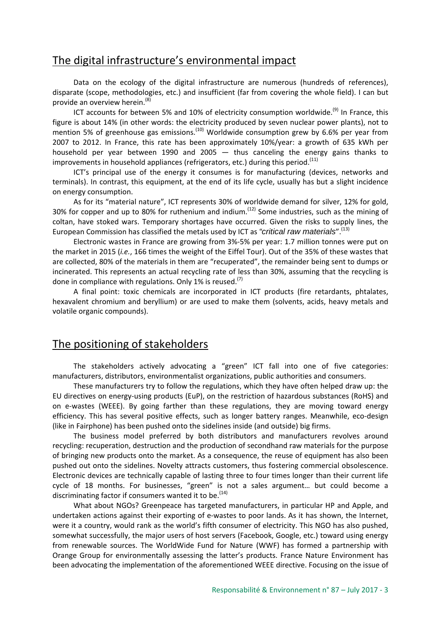# The digital infrastructure's environmental impact

Data on the ecology of the digital infrastructure are numerous (hundreds of references), disparate (scope, methodologies, etc.) and insufficient (far from covering the whole field). I can but provide an overview herein.<sup>(8)</sup>

ICT accounts for between 5% and 10% of electricity consumption worldwide.<sup>(9)</sup> In France, this figure is about 14% (in other words: the electricity produced by seven nuclear power plants), not to mention 5% of greenhouse gas emissions.<sup> $(10)$ </sup> Worldwide consumption grew by 6.6% per year from 2007 to 2012. In France, this rate has been approximately 10%/year: a growth of 635 kWh per household per year between 1990 and 2005 — thus canceling the energy gains thanks to improvements in household appliances (refrigerators, etc.) during this period.<sup>(11)</sup>

ICT's principal use of the energy it consumes is for manufacturing (devices, networks and terminals). In contrast, this equipment, at the end of its life cycle, usually has but a slight incidence on energy consumption.

As for its "material nature", ICT represents 30% of worldwide demand for silver, 12% for gold, 30% for copper and up to 80% for ruthenium and indium.<sup> $(12)$ </sup> Some industries, such as the mining of coltan, have stoked wars. Temporary shortages have occurred. Given the risks to supply lines, the European Commission has classified the metals used by ICT as *"critical raw materials*".(13)

Electronic wastes in France are growing from 3%-5% per year: 1.7 million tonnes were put on the market in 2015 (*i.e.*, 166 times the weight of the Eiffel Tour). Out of the 35% of these wastes that are collected, 80% of the materials in them are "recuperated", the remainder being sent to dumps or incinerated. This represents an actual recycling rate of less than 30%, assuming that the recycling is done in compliance with regulations. Only 1% is reused.<sup>(7)</sup>

A final point: toxic chemicals are incorporated in ICT products (fire retardants, phtalates, hexavalent chromium and beryllium) or are used to make them (solvents, acids, heavy metals and volatile organic compounds).

# The positioning of stakeholders

The stakeholders actively advocating a "green" ICT fall into one of five categories: manufacturers, distributors, environmentalist organizations, public authorities and consumers.

These manufacturers try to follow the regulations, which they have often helped draw up: the EU directives on energy-using products (EuP), on the restriction of hazardous substances (RoHS) and on e-wastes (WEEE). By going farther than these regulations, they are moving toward energy efficiency. This has several positive effects, such as longer battery ranges. Meanwhile, eco-design (like in Fairphone) has been pushed onto the sidelines inside (and outside) big firms.

The business model preferred by both distributors and manufacturers revolves around recycling: recuperation, destruction and the production of secondhand raw materials for the purpose of bringing new products onto the market. As a consequence, the reuse of equipment has also been pushed out onto the sidelines. Novelty attracts customers, thus fostering commercial obsolescence. Electronic devices are technically capable of lasting three to four times longer than their current life cycle of 18 months. For businesses, "green" is not a sales argument… but could become a discriminating factor if consumers wanted it to be.  $(14)$ 

What about NGOs? Greenpeace has targeted manufacturers, in particular HP and Apple, and undertaken actions against their exporting of e-wastes to poor lands. As it has shown, the Internet, were it a country, would rank as the world's fifth consumer of electricity. This NGO has also pushed, somewhat successfully, the major users of host servers (Facebook, Google, etc.) toward using energy from renewable sources. The WorldWide Fund for Nature (WWF) has formed a partnership with Orange Group for environmentally assessing the latter's products. France Nature Environment has been advocating the implementation of the aforementioned WEEE directive. Focusing on the issue of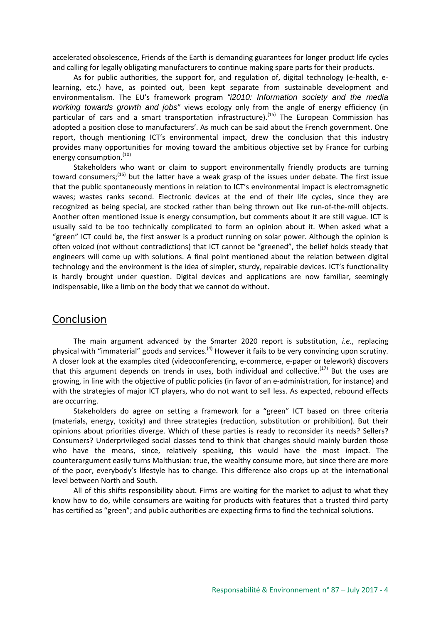accelerated obsolescence, Friends of the Earth is demanding guarantees for longer product life cycles and calling for legally obligating manufacturers to continue making spare parts for their products.

As for public authorities, the support for, and regulation of, digital technology (e-health, elearning, etc.) have, as pointed out, been kept separate from sustainable development and environmentalism. The EU's framework program *"i2010: Information society and the media working towards growth and jobs*" views ecology only from the angle of energy efficiency (in particular of cars and a smart transportation infrastructure).<sup>(15)</sup> The European Commission has adopted a position close to manufacturers'. As much can be said about the French government. One report, though mentioning ICT's environmental impact, drew the conclusion that this industry provides many opportunities for moving toward the ambitious objective set by France for curbing energy consumption.<sup>(10)</sup>

Stakeholders who want or claim to support environmentally friendly products are turning toward consumers;<sup>(16)</sup> but the latter have a weak grasp of the issues under debate. The first issue that the public spontaneously mentions in relation to ICT's environmental impact is electromagnetic waves; wastes ranks second. Electronic devices at the end of their life cycles, since they are recognized as being special, are stocked rather than being thrown out like run-of-the-mill objects. Another often mentioned issue is energy consumption, but comments about it are still vague. ICT is usually said to be too technically complicated to form an opinion about it. When asked what a "green" ICT could be, the first answer is a product running on solar power. Although the opinion is often voiced (not without contradictions) that ICT cannot be "greened", the belief holds steady that engineers will come up with solutions. A final point mentioned about the relation between digital technology and the environment is the idea of simpler, sturdy, repairable devices. ICT's functionality is hardly brought under question. Digital devices and applications are now familiar, seemingly indispensable, like a limb on the body that we cannot do without.

#### Conclusion

The main argument advanced by the Smarter 2020 report is substitution, *i.e.*, replacing physical with "immaterial" goods and services.<sup>(4)</sup> However it fails to be very convincing upon scrutiny. A closer look at the examples cited (videoconferencing, e-commerce, e-paper or telework) discovers that this argument depends on trends in uses, both individual and collective.<sup>(17)</sup> But the uses are growing, in line with the objective of public policies (in favor of an e-administration, for instance) and with the strategies of major ICT players, who do not want to sell less. As expected, rebound effects are occurring.

Stakeholders do agree on setting a framework for a "green" ICT based on three criteria (materials, energy, toxicity) and three strategies (reduction, substitution or prohibition). But their opinions about priorities diverge. Which of these parties is ready to reconsider its needs? Sellers? Consumers? Underprivileged social classes tend to think that changes should mainly burden those who have the means, since, relatively speaking, this would have the most impact. The counterargument easily turns Malthusian: true, the wealthy consume more, but since there are more of the poor, everybody's lifestyle has to change. This difference also crops up at the international level between North and South.

All of this shifts responsibility about. Firms are waiting for the market to adjust to what they know how to do, while consumers are waiting for products with features that a trusted third party has certified as "green"; and public authorities are expecting firms to find the technical solutions.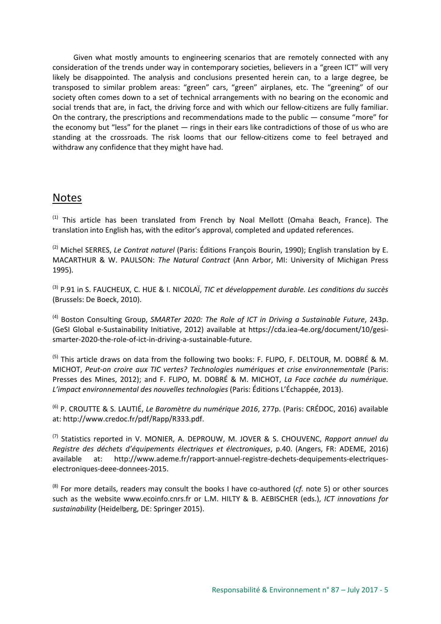Given what mostly amounts to engineering scenarios that are remotely connected with any consideration of the trends under way in contemporary societies, believers in a "green ICT" will very likely be disappointed. The analysis and conclusions presented herein can, to a large degree, be transposed to similar problem areas: "green" cars, "green" airplanes, etc. The "greening" of our society often comes down to a set of technical arrangements with no bearing on the economic and social trends that are, in fact, the driving force and with which our fellow-citizens are fully familiar. On the contrary, the prescriptions and recommendations made to the public — consume "more" for the economy but "less" for the planet — rings in their ears like contradictions of those of us who are standing at the crossroads. The risk looms that our fellow-citizens come to feel betrayed and withdraw any confidence that they might have had.

### Notes

 $(1)$  This article has been translated from French by Noal Mellott (Omaha Beach, France). The translation into English has, with the editor's approval, completed and updated references.

(2) Michel SERRES, *Le Contrat naturel* (Paris: Éditions François Bourin, 1990); English translation by E. MACARTHUR & W. PAULSON: *The Natural Contract* (Ann Arbor, MI: University of Michigan Press 1995).

(3) P.91 in S. FAUCHEUX, C. HUE & I. NICOLAÏ, *TIC et développement durable. Les conditions du succès* (Brussels: De Boeck, 2010).

(4) Boston Consulting Group, *SMARTer 2020: The Role of ICT in Driving a Sustainable Future*, 243p. (GeSI Global e-Sustainability Initiative, 2012) available at https://cda.iea-4e.org/document/10/gesismarter-2020-the-role-of-ict-in-driving-a-sustainable-future.

<sup>(5)</sup> This article draws on data from the following two books: F. FLIPO, F. DELTOUR, M. DOBRÉ & M. MICHOT, *Peut-on croire aux TIC vertes? Technologies numériques et crise environnementale* (Paris: Presses des Mines, 2012); and F. FLIPO, M. DOBRÉ & M. MICHOT, *La Face cachée du numérique. L'impact environnemental des nouvelles technologies* (Paris: Éditions L'Échappée, 2013).

(6) P. CROUTTE & S. LAUTIÉ, *Le Baromètre du numérique 2016*, 277p. (Paris: CRÉDOC, 2016) available at: http://www.credoc.fr/pdf/Rapp/R333.pdf.

(7) Statistics reported in V. MONIER, A. DEPROUW, M. JOVER & S. CHOUVENC, *Rapport annuel du Registre des déchets d'équipements électriques et électroniques*, p.40. (Angers, FR: ADEME, 2016) available at: http://www.ademe.fr/rapport-annuel-registre-dechets-dequipements-electriqueselectroniques-deee-donnees-2015.

(8) For more details, readers may consult the books I have co-authored (*cf.* note 5) or other sources such as the website www.ecoinfo.cnrs.fr or L.M. HILTY & B. AEBISCHER (eds.), *ICT innovations for sustainability* (Heidelberg, DE: Springer 2015).